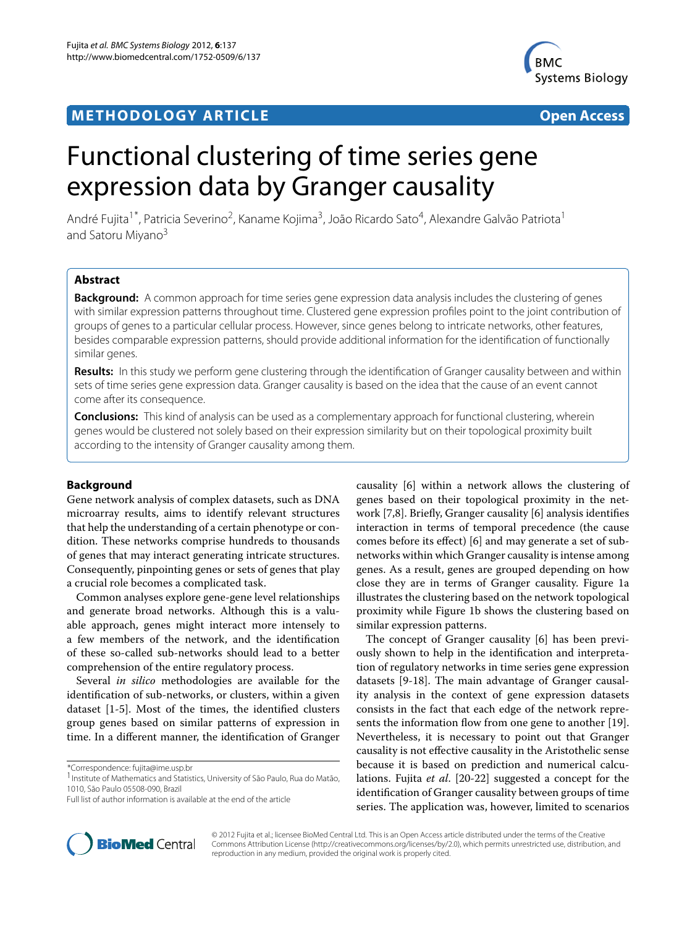# **METHODOLOGY ARTICLE Open Access**



# Functional clustering of time series gene expression data by Granger causality

André Fujita<sup>1\*</sup>, Patricia Severino<sup>2</sup>, Kaname Kojima<sup>3</sup>, João Ricardo Sato<sup>4</sup>, Alexandre Galvão Patriota<sup>1</sup> and Satoru Miyano<sup>3</sup>

# **Abstract**

**Background:** A common approach for time series gene expression data analysis includes the clustering of genes with similar expression patterns throughout time. Clustered gene expression profiles point to the joint contribution of groups of genes to a particular cellular process. However, since genes belong to intricate networks, other features, besides comparable expression patterns, should provide additional information for the identification of functionally similar genes.

**Results:** In this study we perform gene clustering through the identification of Granger causality between and within sets of time series gene expression data. Granger causality is based on the idea that the cause of an event cannot come after its consequence.

**Conclusions:** This kind of analysis can be used as a complementary approach for functional clustering, wherein genes would be clustered not solely based on their expression similarity but on their topological proximity built according to the intensity of Granger causality among them.

# **Background**

Gene network analysis of complex datasets, such as DNA microarray results, aims to identify relevant structures that help the understanding of a certain phenotype or condition. These networks comprise hundreds to thousands of genes that may interact generating intricate structures. Consequently, pinpointing genes or sets of genes that play a crucial role becomes a complicated task.

Common analyses explore gene-gene level relationships and generate broad networks. Although this is a valuable approach, genes might interact more intensely to a few members of the network, and the identification of these so-called sub-networks should lead to a better comprehension of the entire regulatory process.

Several *in silico* methodologies are available for the identification of sub-networks, or clusters, within a given dataset [\[1-](#page-10-0)[5\]](#page-11-0). Most of the times, the identified clusters group genes based on similar patterns of expression in time. In a different manner, the identification of Granger

\*Correspondence: fujita@ime.usp.br

causality [\[6\]](#page-11-1) within a network allows the clustering of genes based on their topological proximity in the network [\[7](#page-11-2)[,8\]](#page-11-3). Briefly, Granger causality [\[6\]](#page-11-1) analysis identifies interaction in terms of temporal precedence (the cause comes before its effect) [\[6\]](#page-11-1) and may generate a set of subnetworks within which Granger causality is intense among genes. As a result, genes are grouped depending on how close they are in terms of Granger causality. Figure [1a](#page-1-0) illustrates the clustering based on the network topological proximity while Figure [1b](#page-1-0) shows the clustering based on similar expression patterns.

The concept of Granger causality [\[6\]](#page-11-1) has been previously shown to help in the identification and interpretation of regulatory networks in time series gene expression datasets [\[9-](#page-11-4)[18\]](#page-11-5). The main advantage of Granger causality analysis in the context of gene expression datasets consists in the fact that each edge of the network represents the information flow from one gene to another [\[19\]](#page-11-6). Nevertheless, it is necessary to point out that Granger causality is not effective causality in the Aristothelic sense because it is based on prediction and numerical calculations. Fujita *et al*. [\[20-](#page-11-7)[22\]](#page-11-8) suggested a concept for the identification of Granger causality between groups of time series. The application was, however, limited to scenarios



© 2012 Fujita et al.; licensee BioMed Central Ltd. This is an Open Access article distributed under the terms of the Creative Commons Attribution License (http://creativecommons.org/licenses/by/2.0), which permits unrestricted use, distribution, and reproduction in any medium, provided the original work is properly cited.

<sup>&</sup>lt;sup>1</sup> Institute of Mathematics and Statistics, University of São Paulo, Rua do Matão, 1010, São Paulo 05508-090, Brazil

Full list of author information is available at the end of the article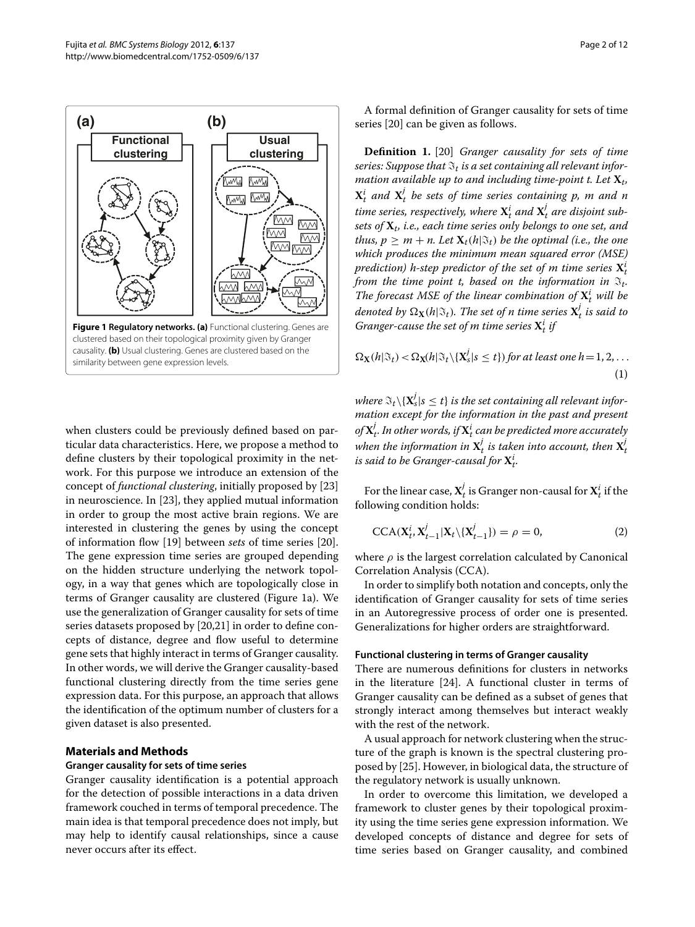

<span id="page-1-0"></span>when clusters could be previously defined based on particular data characteristics. Here, we propose a method to define clusters by their topological proximity in the network. For this purpose we introduce an extension of the concept of *functional clustering*, initially proposed by [\[23\]](#page-11-9) in neuroscience. In [\[23\]](#page-11-9), they applied mutual information in order to group the most active brain regions. We are interested in clustering the genes by using the concept of information flow [\[19\]](#page-11-6) between *sets* of time series [\[20\]](#page-11-7). The gene expression time series are grouped depending on the hidden structure underlying the network topology, in a way that genes which are topologically close in terms of Granger causality are clustered (Figure [1a](#page-1-0)). We use the generalization of Granger causality for sets of time series datasets proposed by [\[20,](#page-11-7)[21\]](#page-11-10) in order to define concepts of distance, degree and flow useful to determine gene sets that highly interact in terms of Granger causality. In other words, we will derive the Granger causality-based functional clustering directly from the time series gene expression data. For this purpose, an approach that allows the identification of the optimum number of clusters for a given dataset is also presented.

# **Materials and Methods**

#### **Granger causality for sets of time series**

Granger causality identification is a potential approach for the detection of possible interactions in a data driven framework couched in terms of temporal precedence. The main idea is that temporal precedence does not imply, but may help to identify causal relationships, since a cause never occurs after its effect.

A formal definition of Granger causality for sets of time series [\[20\]](#page-11-7) can be given as follows.

**Definition 1.** [\[20\]](#page-11-7) *Granger causality for sets of time*  $s$ eries: Suppose that  $\mathfrak{I}_t$  is a set containing all relevant infor*mation available up to and including time-point t. Let* **X***t,*  $X_t^i$  and  $X_t^j$  be sets of time series containing p, m and n time series, respectively, where  $\mathbf{X}_t^i$  and  $\mathbf{X}_t^j$  are disjoint sub*sets of* **X***t, i.e., each time series only belongs to one set, and*  $thus, p \geq m + n$ . Let  $\mathbf{X}_t(h|\mathfrak{B}_t)$  be the optimal (i.e., the one *which produces the minimum mean squared error (MSE) prediction) h-step predictor of the set of m time series* **X***<sup>i</sup> t* from the time point t, based on the information in  $\mathfrak{F}_t$ . *The forecast MSE of the linear combination of*  $\mathbf{X}_t^i$  *will be* denoted by  $\Omega_{\mathbf{X}}(h|\mathfrak{F}_t).$  The set of n time series  $\mathbf{X}^j_t$  is said to *Granger-cause the set of m time series* **X***<sup>i</sup> t if*

$$
\Omega_{\mathbf{X}}(h|\mathfrak{F}_t) < \Omega_{\mathbf{X}}(h|\mathfrak{F}_t \setminus \{\mathbf{X}_s^j | s \le t\}) \text{ for at least one } h = 1, 2, \dots
$$
\n(1)

where  $\Im_t\backslash\{\mathbf{X}_s^j|s\leq t\}$  is the set containing all relevant infor*mation except for the information in the past and present of* **X***<sup>j</sup> t. In other words, if* **X***<sup>i</sup> <sup>t</sup> can be predicted more accurately* when the information in  $\mathbf{X}_t^j$  is taken into account, then  $\mathbf{X}_t^j$ *is said to be Granger-causal for* **X***<sup>i</sup> t.*

For the linear case,  $\mathbf{X}^j_t$  is Granger non-causal for  $\mathbf{X}^i_t$  if the following condition holds:

$$
CCA(\mathbf{X}_t^i, \mathbf{X}_{t-1}^j | \mathbf{X}_t \setminus \{\mathbf{X}_{t-1}^j\}) = \rho = 0,
$$
\n(2)

where *ρ* is the largest correlation calculated by Canonical Correlation Analysis (CCA).

In order to simplify both notation and concepts, only the identification of Granger causality for sets of time series in an Autoregressive process of order one is presented. Generalizations for higher orders are straightforward.

#### **Functional clustering in terms of Granger causality**

There are numerous definitions for clusters in networks in the literature [\[24\]](#page-11-11). A functional cluster in terms of Granger causality can be defined as a subset of genes that strongly interact among themselves but interact weakly with the rest of the network.

A usual approach for network clustering when the structure of the graph is known is the spectral clustering proposed by [\[25\]](#page-11-12). However, in biological data, the structure of the regulatory network is usually unknown.

In order to overcome this limitation, we developed a framework to cluster genes by their topological proximity using the time series gene expression information. We developed concepts of distance and degree for sets of time series based on Granger causality, and combined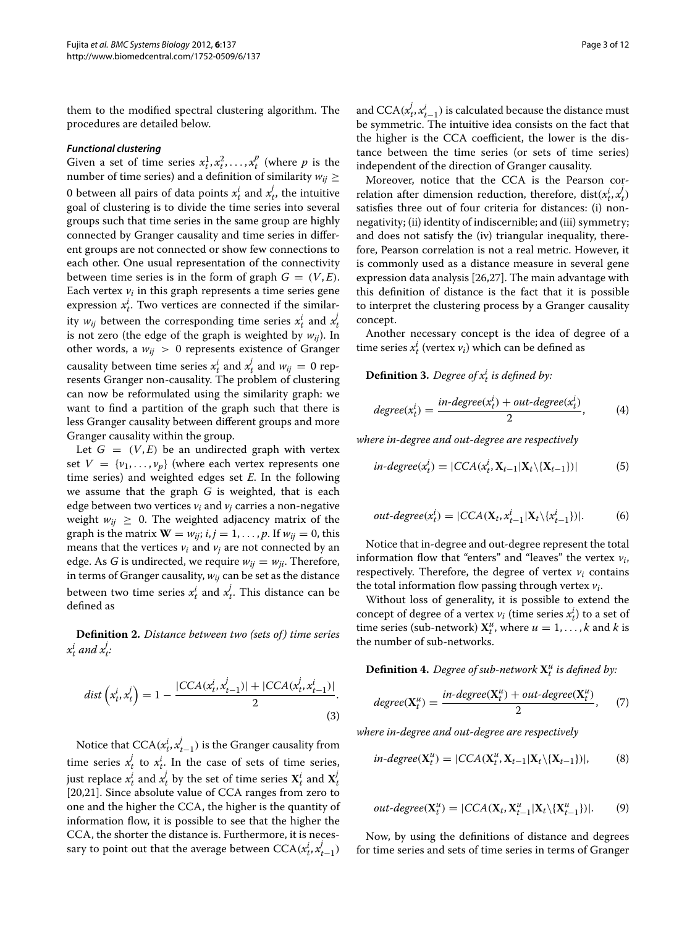them to the modified spectral clustering algorithm. The procedures are detailed below.

#### <span id="page-2-0"></span>*Functional clustering*

Given a set of time series  $x_t^1, x_t^2, \ldots, x_t^p$  (where *p* is the number of time series) and a definition of similarity  $w_{ij} \geq$ 0 between all pairs of data points  $x_t^i$  and  $x_t^j$ , the intuitive goal of clustering is to divide the time series into several groups such that time series in the same group are highly connected by Granger causality and time series in different groups are not connected or show few connections to each other. One usual representation of the connectivity between time series is in the form of graph  $G = (V, E)$ . Each vertex  $v_i$  in this graph represents a time series gene expression  $x_t^i$ . Two vertices are connected if the similarity  $w_{ij}$  between the corresponding time series  $x_t^i$  and  $x_t^j$ *t* is not zero (the edge of the graph is weighted by *wij*). In other words, a  $w_{ii} > 0$  represents existence of Granger causality between time series  $x_t^i$  and  $x_t^j$  and  $w_{ij} = 0$  represents Granger non-causality. The problem of clustering can now be reformulated using the similarity graph: we want to find a partition of the graph such that there is less Granger causality between different groups and more Granger causality within the group.

Let  $G = (V, E)$  be an undirected graph with vertex set  $V = \{v_1, \ldots, v_p\}$  (where each vertex represents one time series) and weighted edges set *E*. In the following we assume that the graph *G* is weighted, that is each edge between two vertices  $v_i$  and  $v_j$  carries a non-negative weight  $w_{ij} \geq 0$ . The weighted adjacency matrix of the graph is the matrix  $W = w_{ii}$ ;  $i, j = 1, \ldots, p$ . If  $w_{ii} = 0$ , this means that the vertices  $v_i$  and  $v_j$  are not connected by an edge. As *G* is undirected, we require  $w_{ij} = w_{ji}$ . Therefore, in terms of Granger causality,  $w_{ij}$  can be set as the distance between two time series  $x_t^i$  and  $x_t^j$ . This distance can be defined as

**Definition 2.** *Distance between two (sets of ) time series*  $x_t^i$  and  $x_t^j$ :

$$
dist\left(x_t^i, x_t^j\right) = 1 - \frac{|CCA(x_t^i, x_{t-1}^j)| + |CCA(x_t^j, x_{t-1}^i)|}{2}.
$$
\n(3)

Notice that  $CCA(x_t^i, x_{t-1}^j)$  is the Granger causality from time series  $x_t^j$  to  $x_t^i$ . In the case of sets of time series, just replace  $x_t^i$  and  $x_t^j$  by the set of time series  $\mathbf{X}_t^i$  and  $\mathbf{X}_t^j$ [\[20](#page-11-7)[,21\]](#page-11-10). Since absolute value of CCA ranges from zero to one and the higher the CCA, the higher is the quantity of information flow, it is possible to see that the higher the CCA, the shorter the distance is. Furthermore, it is necessary to point out that the average between  $\text{CCA}(x_t^i, x_{t-1}^j)$ 

and  $CCA(x_t^j, x_{t-1}^i)$  is calculated because the distance must be symmetric. The intuitive idea consists on the fact that the higher is the CCA coefficient, the lower is the distance between the time series (or sets of time series) independent of the direction of Granger causality.

Moreover, notice that the CCA is the Pearson correlation after dimension reduction, therefore,  $\text{dist}(x_t^i, x_t^j)$ satisfies three out of four criteria for distances: (i) nonnegativity; (ii) identity of indiscernible; and (iii) symmetry; and does not satisfy the (iv) triangular inequality, therefore, Pearson correlation is not a real metric. However, it is commonly used as a distance measure in several gene expression data analysis [\[26](#page-11-13)[,27\]](#page-11-14). The main advantage with this definition of distance is the fact that it is possible to interpret the clustering process by a Granger causality concept.

Another necessary concept is the idea of degree of a time series  $x_t^i$  (vertex  $v_i$ ) which can be defined as

**Definition 3.** Degree of  $x_t^i$  is defined by:

$$
degree(x_t^i) = \frac{in-degree(x_t^i) + out-degree(x_t^i)}{2},
$$
\n(4)

*where in-degree and out-degree are respectively*

$$
in-degree(x_t^i) = |CCA(x_t^i, \mathbf{X}_{t-1}|\mathbf{X}_t \setminus {\mathbf{X}_{t-1}})| \tag{5}
$$

$$
out-degree(x_t^i) = |CCA(\mathbf{X}_t, x_{t-1}^i | \mathbf{X}_t \setminus \{x_{t-1}^i\})|.
$$
 (6)

Notice that in-degree and out-degree represent the total information flow that "enters" and "leaves" the vertex  $v_i$ , respectively. Therefore, the degree of vertex  $v_i$  contains the total information flow passing through vertex *vi*.

Without loss of generality, it is possible to extend the concept of degree of a vertex  $v_i$  (time series  $x_t^i$ ) to a set of time series (sub-network)  $X_t^u$ , where  $u = 1, \ldots, k$  and  $k$  is the number of sub-networks.

**Definition 4.** *Degree of sub-network* **X***<sup>u</sup> <sup>t</sup> is defined by:*

$$
degree(\mathbf{X}_{t}^{u}) = \frac{in-degree(\mathbf{X}_{t}^{u}) + out-degree(\mathbf{X}_{t}^{u})}{2}, \quad (7)
$$

*where in-degree and out-degree are respectively*

$$
in-degree(\mathbf{X}_t^u) = |CCA(\mathbf{X}_t^u, \mathbf{X}_{t-1}|\mathbf{X}_t\backslash{\mathbf{X}_{t-1}})|, \qquad (8)
$$

$$
out-degree(\mathbf{X}_t^u) = |CCA(\mathbf{X}_t, \mathbf{X}_{t-1}^u|\mathbf{X}_t\setminus\{\mathbf{X}_{t-1}^u\})|.
$$
 (9)

Now, by using the definitions of distance and degrees for time series and sets of time series in terms of Granger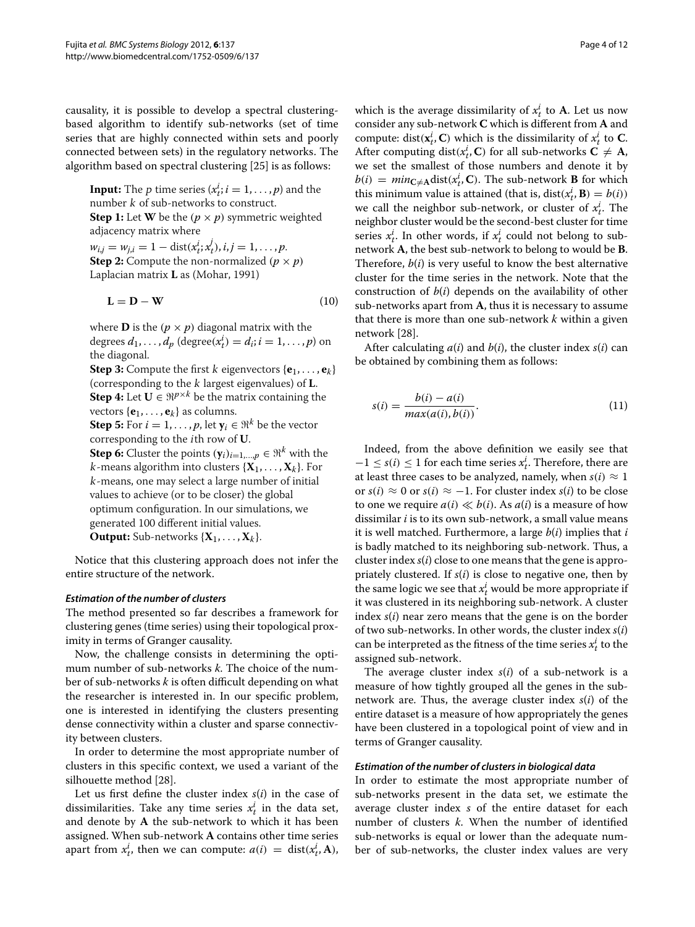causality, it is possible to develop a spectral clusteringbased algorithm to identify sub-networks (set of time series that are highly connected within sets and poorly connected between sets) in the regulatory networks. The algorithm based on spectral clustering [\[25\]](#page-11-12) is as follows:

**Input:** The p time series  $(x_t^i; i = 1, \ldots, p)$  and the number k of sub-networks to construct. **Step 1:** Let **W** be the  $(p \times p)$  symmetric weighted adjacency matrix where  $w_{i,j} = w_{j,i} = 1 - \text{dist}(x_i^i; x_i^j), i, j = 1, \ldots, p.$ **Step 2:** Compute the non-normalized  $(p \times p)$ Laplacian matrix **L** as (Mohar, 1991)

$$
\mathbf{L} = \mathbf{D} - \mathbf{W} \tag{10}
$$

where **D** is the  $(p \times p)$  diagonal matrix with the degrees  $d_1, \ldots, d_p$  (degree $(x_t^i) = d_i; i = 1, \ldots, p$ ) on the diagonal.

**Step 3:** Compute the first k eigenvectors  $\{\mathbf{e}_1, \ldots, \mathbf{e}_k\}$ (corresponding to the k largest eigenvalues) of **L**. **Step 4:** Let  $\mathbf{U} \in \mathbb{R}^{p \times k}$  be the matrix containing the vectors  $\{\mathbf{e}_1, \dots, \mathbf{e}_k\}$  as columns. **Step 5:** For  $i = 1, ..., p$ , let  $y_i \in \Re^k$  be the vector

corresponding to the <sup>i</sup>th row of **U**. **Step 6:** Cluster the points  $(\mathbf{y}_i)_{i=1,\dots,p} \in \mathbb{R}^k$  with the *k*-means algorithm into clusters  $\{X_1, \ldots, X_k\}$ . For k-means, one may select a large number of initial values to achieve (or to be closer) the global optimum configuration. In our simulations, we generated 100 different initial values. **Output:** Sub-networks  $\{X_1, \ldots, X_k\}$ .

Notice that this clustering approach does not infer the

# *Estimation of the number of clusters*

entire structure of the network.

The method presented so far describes a framework for clustering genes (time series) using their topological proximity in terms of Granger causality.

Now, the challenge consists in determining the optimum number of sub-networks *k*. The choice of the number of sub-networks *k* is often difficult depending on what the researcher is interested in. In our specific problem, one is interested in identifying the clusters presenting dense connectivity within a cluster and sparse connectivity between clusters.

In order to determine the most appropriate number of clusters in this specific context, we used a variant of the silhouette method [\[28\]](#page-11-15).

Let us first define the cluster index *s*(*i*) in the case of dissimilarities. Take any time series  $x_t^i$  in the data set, and denote by **A** the sub-network to which it has been assigned. When sub-network **A** contains other time series apart from  $x_t^i$ , then we can compute:  $a(i) = \text{dist}(x_t^i, \mathbf{A})$ ,

which is the average dissimilarity of  $x_t^i$  to **A**. Let us now consider any sub-network **C** which is different from **A** and compute: dist( $\mathbf{x}_t^i$ , **C**) which is the dissimilarity of  $x_t^i$  to **C**. After computing dist( $x_t^i$ , **C**) for all sub-networks  $\mathbf{C} \neq \mathbf{A}$ , we set the smallest of those numbers and denote it by  $b(i) = min_{\mathbf{C} \neq \mathbf{A}} \text{dist}(x_i^i, \mathbf{C})$ . The sub-network **B** for which this minimum value is attained (that is,  $dist(x_t^i, \mathbf{B}) = b(i)$ ) we call the neighbor sub-network, or cluster of  $x_t^i$ . The neighbor cluster would be the second-best cluster for time series  $x_t^i$ . In other words, if  $x_t^i$  could not belong to subnetwork **A**, the best sub-network to belong to would be **B**. Therefore,  $b(i)$  is very useful to know the best alternative cluster for the time series in the network. Note that the construction of *b*(*i*) depends on the availability of other sub-networks apart from **A**, thus it is necessary to assume that there is more than one sub-network *k* within a given network [\[28\]](#page-11-15).

After calculating  $a(i)$  and  $b(i)$ , the cluster index  $s(i)$  can be obtained by combining them as follows:

$$
s(i) = \frac{b(i) - a(i)}{max(a(i), b(i))}.
$$
\n(11)

Indeed, from the above definition we easily see that  $-1 \leq s(i) \leq 1$  for each time series  $x_t^i$ . Therefore, there are at least three cases to be analyzed, namely, when  $s(i) \approx 1$ or  $s(i) \approx 0$  or  $s(i) \approx -1$ . For cluster index  $s(i)$  to be close to one we require  $a(i) \ll b(i)$ . As  $a(i)$  is a measure of how dissimilar *i* is to its own sub-network, a small value means it is well matched. Furthermore, a large *b*(*i*) implies that *i* is badly matched to its neighboring sub-network. Thus, a cluster index *s*(*i*) close to one means that the gene is appropriately clustered. If  $s(i)$  is close to negative one, then by the same logic we see that  $x_t^i$  would be more appropriate if it was clustered in its neighboring sub-network. A cluster index *s*(*i*) near zero means that the gene is on the border of two sub-networks. In other words, the cluster index *s*(*i*) can be interpreted as the fitness of the time series  $x_t^i$  to the assigned sub-network.

The average cluster index *s*(*i*) of a sub-network is a measure of how tightly grouped all the genes in the subnetwork are. Thus, the average cluster index *s*(*i*) of the entire dataset is a measure of how appropriately the genes have been clustered in a topological point of view and in terms of Granger causality.

#### *Estimation of the number of clusters in biological data*

In order to estimate the most appropriate number of sub-networks present in the data set, we estimate the average cluster index *s* of the entire dataset for each number of clusters *k*. When the number of identified sub-networks is equal or lower than the adequate number of sub-networks, the cluster index values are very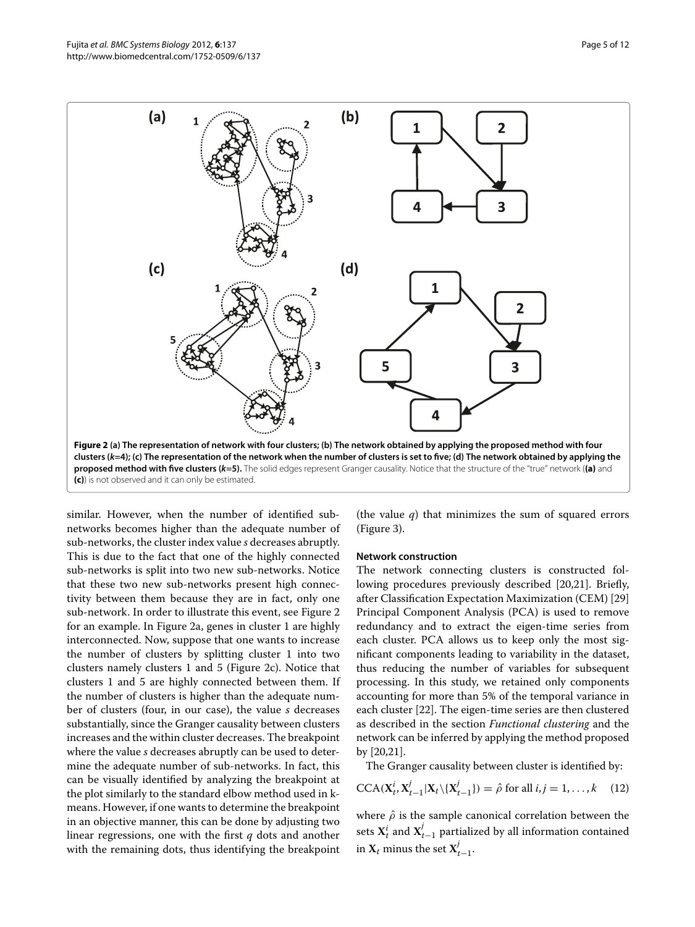

<span id="page-4-0"></span>similar. However, when the number of identified subnetworks becomes higher than the adequate number of sub-networks, the cluster index value *s* decreases abruptly. This is due to the fact that one of the highly connected sub-networks is split into two new sub-networks. Notice that these two new sub-networks present high connectivity between them because they are in fact, only one sub-network. In order to illustrate this event, see Figure [2](#page-4-0) for an example. In Figure [2a](#page-4-0), genes in cluster 1 are highly interconnected. Now, suppose that one wants to increase the number of clusters by splitting cluster 1 into two clusters namely clusters 1 and 5 (Figure [2c](#page-4-0)). Notice that clusters 1 and 5 are highly connected between them. If the number of clusters is higher than the adequate number of clusters (four, in our case), the value *s* decreases substantially, since the Granger causality between clusters increases and the within cluster decreases. The breakpoint where the value *s* decreases abruptly can be used to determine the adequate number of sub-networks. In fact, this can be visually identified by analyzing the breakpoint at the plot similarly to the standard elbow method used in kmeans. However, if one wants to determine the breakpoint in an objective manner, this can be done by adjusting two linear regressions, one with the first *q* dots and another with the remaining dots, thus identifying the breakpoint

(the value *q*) that minimizes the sum of squared errors (Figure [3\)](#page-5-0).

### **Network construction**

The network connecting clusters is constructed following procedures previously described [\[20,](#page-11-7)[21\]](#page-11-10). Briefly, after Classification Expectation Maximization (CEM) [\[29\]](#page-11-16) Principal Component Analysis (PCA) is used to remove redundancy and to extract the eigen-time series from each cluster. PCA allows us to keep only the most significant components leading to variability in the dataset, thus reducing the number of variables for subsequent processing. In this study, we retained only components accounting for more than 5% of the temporal variance in each cluster [\[22\]](#page-11-8). The eigen-time series are then clustered as described in the section *[Functional clustering](#page-2-0)* and the network can be inferred by applying the method proposed by [\[20](#page-11-7)[,21\]](#page-11-10).

The Granger causality between cluster is identified by:

$$
CCA(\mathbf{X}_t^i, \mathbf{X}_{t-1}^j|\mathbf{X}_t\setminus\{\mathbf{X}_{t-1}^j\}) = \hat{\rho} \text{ for all } i,j = 1,\ldots,k \quad (12)
$$

where  $\hat{\rho}$  is the sample canonical correlation between the sets  $\mathbf{X}_t^i$  and  $\mathbf{X}_{t-1}^j$  partialized by all information contained in  $\mathbf{X}_t$  minus the set  $\mathbf{X}_{t-1}^j$ .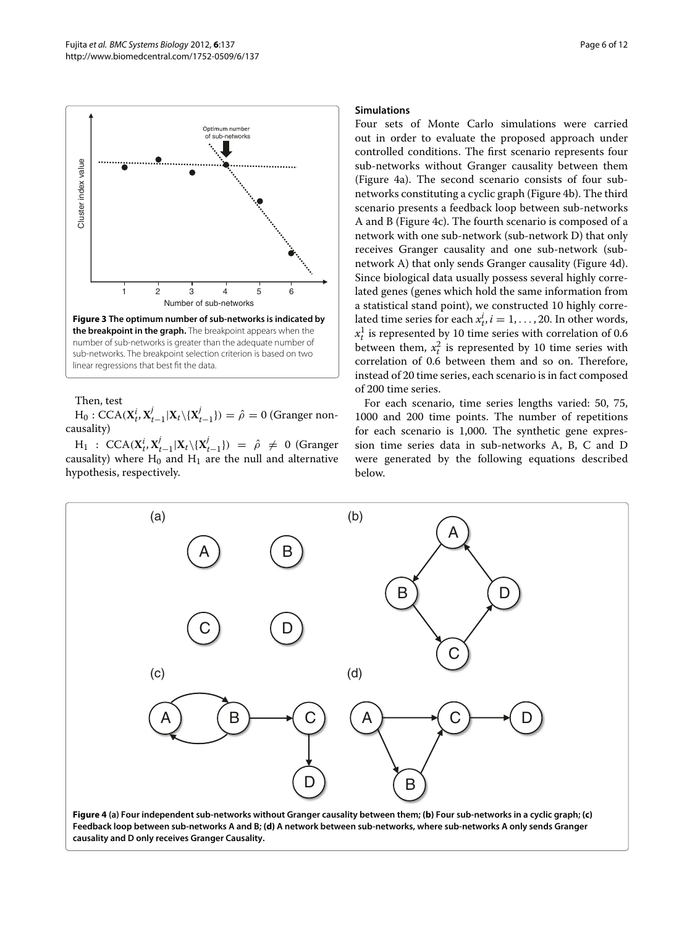![](_page_5_Figure_2.jpeg)

#### <span id="page-5-0"></span>Then, test

 $H_0: CCA(X_t^i, X_{t-1}^j | X_t \setminus \{X_{t-1}^j\}) = \hat{\rho} = 0$  (Granger noncausality)

 $H_1$  : CCA( $X_t^i$ ,  $X_{t-1}^j | X_t \setminus \{X_{t-1}^j\}) = \hat{\rho} \neq 0$  (Granger causality) where  $H_0$  and  $H_1$  are the null and alternative hypothesis, respectively.

## **Simulations**

Four sets of Monte Carlo simulations were carried out in order to evaluate the proposed approach under controlled conditions. The first scenario represents four sub-networks without Granger causality between them (Figure [4a](#page-5-1)). The second scenario consists of four subnetworks constituting a cyclic graph (Figure [4b](#page-5-1)). The third scenario presents a feedback loop between sub-networks A and B (Figure [4c](#page-5-1)). The fourth scenario is composed of a network with one sub-network (sub-network D) that only receives Granger causality and one sub-network (subnetwork A) that only sends Granger causality (Figure [4d](#page-5-1)). Since biological data usually possess several highly correlated genes (genes which hold the same information from a statistical stand point), we constructed 10 highly correlated time series for each  $x_t^i$ ,  $i = 1, \ldots, 20$ . In other words,  $x_t^1$  is represented by 10 time series with correlation of 0.6 between them,  $x_t^2$  is represented by 10 time series with correlation of 0.6 between them and so on. Therefore, instead of 20 time series, each scenario is in fact composed of 200 time series.

For each scenario, time series lengths varied: 50, 75, 1000 and 200 time points. The number of repetitions for each scenario is 1,000. The synthetic gene expression time series data in sub-networks A, B, C and D were generated by the following equations described below.

<span id="page-5-1"></span>![](_page_5_Figure_9.jpeg)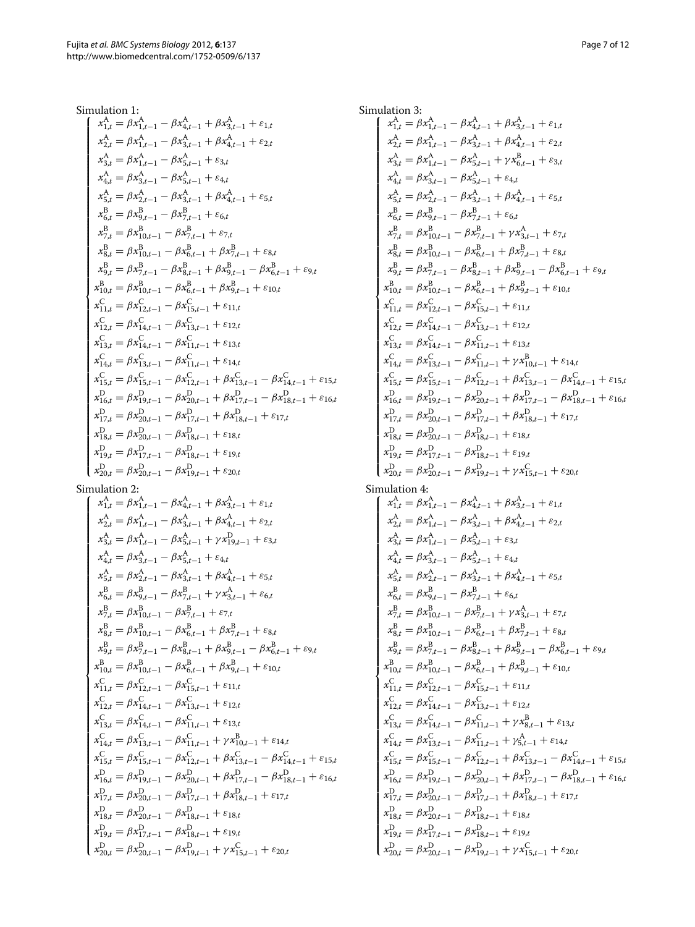$$
\begin{aligned}\n\text{Simulation 1:} \\
\begin{aligned}\n\mathbf{A}_{1,t}^{\mathbf{A}} &= \beta x_{1,t-1}^{\mathbf{A}} - \beta x_{4,t-1}^{\mathbf{A}} + \beta x_{3,t-1}^{\mathbf{A}} + \varepsilon_{1,t} \\
x_{2,t}^{\mathbf{A}} &= \beta x_{1,t-1}^{\mathbf{A}} - \beta x_{3,t-1}^{\mathbf{A}} + \beta x_{4,t-1}^{\mathbf{A}} + \varepsilon_{2,t} \\
x_{3,t}^{\mathbf{A}} &= \beta x_{1,t-1}^{\mathbf{A}} - \beta x_{5,t-1}^{\mathbf{A}} + \varepsilon_{3,t} \\
x_{4,t}^{\mathbf{A}} &= \beta x_{2,t-1}^{\mathbf{A}} - \beta x_{3,t-1}^{\mathbf{A}} + \varepsilon_{4,t} \\
x_{5,t}^{\mathbf{B}} &= \beta x_{2,t-1}^{\mathbf{A}} - \beta x_{3,t-1}^{\mathbf{A}} + \beta x_{4,t-1}^{\mathbf{A}} + \varepsilon_{5,t} \\
x_{6,t}^{\mathbf{B}} &= \beta x_{6,t-1}^{\mathbf{B}} - \beta x_{7,t-1}^{\mathbf{B}} + \varepsilon_{6,t} \\
x_{7,t}^{\mathbf{B}} &= \beta x_{10,t-1}^{\mathbf{B}} - \beta x_{6,t-1}^{\mathbf{B}} + \beta x_{7,t-1}^{\mathbf{B}} + \varepsilon_{8,t} \\
x_{8,t}^{\mathbf{B}} &= \beta x_{7,t-1}^{\mathbf{B}} - \beta x_{8,t-1}^{\mathbf{B}} + \beta x_{7,t-1}^{\mathbf{B}} + \varepsilon_{8,t} \\
x_{9,t}^{\mathbf{B}} &= \beta x_{7,t-1}^{\mathbf{B}} - \beta x_{8,t-1}^{\mathbf{B}} + \beta x_{9,t-1}^{\mathbf{B}} - \beta x_{6,t-1}^{\mathbf{B}} + \varepsilon_{9,t} \\
x_{10,t}^{\mathbf{B}} &= \beta x_{10,t-1}^{\mathbf{B}} - \beta x_{6,t-1}^{\mathbf{C}} + \beta x_{9,t-1}^{\mathbf{B}} + \varepsilon_{10,t} \\
x_{11,t
$$

Simulation 2:

$$
\begin{cases}\n x_{1,t}^{\text{A}} = \beta x_{1,t-1}^{\text{A}} - \beta x_{4,t-1}^{\text{A}} + \beta x_{3,t-1}^{\text{A}} + \varepsilon_{1,t} \\
 x_{2,t}^{\text{A}} = \beta x_{1,t-1}^{\text{A}} - \beta x_{3,t-1}^{\text{A}} + \beta x_{4,t-1}^{\text{A}} + \varepsilon_{2,t} \\
 x_{3,t}^{\text{A}} = \beta x_{1,t-1}^{\text{A}} - \beta x_{5,t-1}^{\text{A}} + \gamma x_{19,t-1}^{\text{D}} + \varepsilon_{3,t} \\
 x_{4,t}^{\text{A}} = \beta x_{3,t-1}^{\text{A}} - \beta x_{5,t-1}^{\text{A}} + \varepsilon_{4,t} \\
 x_{5,t}^{\text{A}} = \beta x_{2,t-1}^{\text{A}} - \beta x_{3,t-1}^{\text{A}} + \beta x_{4,t-1}^{\text{A}} + \varepsilon_{5,t} \\
 x_{6,t}^{\text{B}} = \beta x_{9,t-1}^{\text{B}} - \beta x_{7,t-1}^{\text{B}} + \gamma x_{3,t-1}^{\text{A}} + \varepsilon_{6,t} \\
 x_{7,t}^{\text{B}} = \beta x_{10,t-1}^{\text{B}} - \beta x_{7,t-1}^{\text{B}} + \varepsilon_{7,t} \\
 x_{8,t}^{\text{B}} = \beta x_{10,t-1}^{\text{B}} - \beta x_{8,t-1}^{\text{B}} + \beta x_{7,t-1}^{\text{B}} + \varepsilon_{8,t} \\
 x_{9,t}^{\text{B}} = \beta x_{7,t-1}^{\text{B}} - \beta x_{8,t-1}^{\text{B}} + \beta x_{9,t-1}^{\text{B}} - \beta x_{6,t-1}^{\text{B}} + \varepsilon_{9,t} \\
 x_{10,t}^{\text{B}} = \beta x_{10,t-1}^{\text{B}} - \beta x_{6,t-1}^{\text{C}} + \beta x_{9,t-1}^{\text{B}} + \varepsilon_{10,t} \\
 x_{11,t}^{\text{C}} = \beta x_{12,t-1}^{\text{C}} - \beta x_{15,t-1}^{\text{C}} + \varepsilon_{11,t} \\
 x_{12,t}^{\text{C}} = \beta x_{
$$

Simulation 3:

$$
\begin{array}{l} \mathbf{m}{\mathbf{u}}_{1,t}^{A} = \beta x_{1,t-1}^{A} - \beta x_{3,t-1}^{A} + \beta x_{3,t-1}^{A} + \varepsilon_{1,t} \\ x_{2,t}^{A} = \beta x_{1,t-1}^{A} - \beta x_{3,t-1}^{A} + \beta x_{4,t-1}^{A} + \varepsilon_{2,t} \\ x_{3,t}^{A} = \beta x_{1,t-1}^{A} - \beta x_{3,t-1}^{A} + \gamma x_{6,t-1}^{A} + \varepsilon_{3,t} \\ x_{4,t}^{A} = \beta x_{3,t-1}^{A} - \beta x_{3,t-1}^{A} + \varepsilon_{4,t} \\ x_{5,t}^{B} = \beta x_{2,t-1}^{B} - \beta x_{3,t-1}^{B} + \varepsilon_{5,t} \\ x_{6,t}^{B} = \beta x_{2,t-1}^{B} - \beta x_{3,t-1}^{B} + \varepsilon_{6,t} \\ x_{7,t}^{B} = \beta x_{10,t-1}^{B} - \beta x_{7,t-1}^{B} + \varepsilon_{7,t} \\ x_{8,t}^{B} = \beta x_{10,t-1}^{B} - \beta x_{6,t-1}^{B} + \beta x_{7,t-1}^{B} + \varepsilon_{8,t} \\ x_{9,t}^{B} = \beta x_{10,t-1}^{B} - \beta x_{6,t-1}^{B} + \beta x_{7,t-1}^{B} + \varepsilon_{8,t} \\ x_{10,t}^{B} = \beta x_{10,t-1}^{B} - \beta x_{6,t-1}^{B} + \beta x_{7,t-1}^{B} + \varepsilon_{8,t} \\ x_{11,t}^{B} = \beta x_{10,t-1}^{C} - \beta x_{10,t-1}^{C} + \beta x_{10,t-1}^{B} + \varepsilon_{10,t} \\ x_{11,t}^{C} = \beta x_{10,t-1}^{C} - \beta x_{10,t-1}^{C} + \varepsilon_{11,t} \\ x_{12,t}^{C} = \beta x_{10,t-1}^{C} - \beta x_{11,t-1}^{C} + \beta x_{11,t-1}^{D} + \varepsilon_{10,t} \\ x_{12,t}^{C} = \beta x_{12,t-1}^{C} - \beta x_{11,t-1}^{C} + \beta x_{12,t-1
$$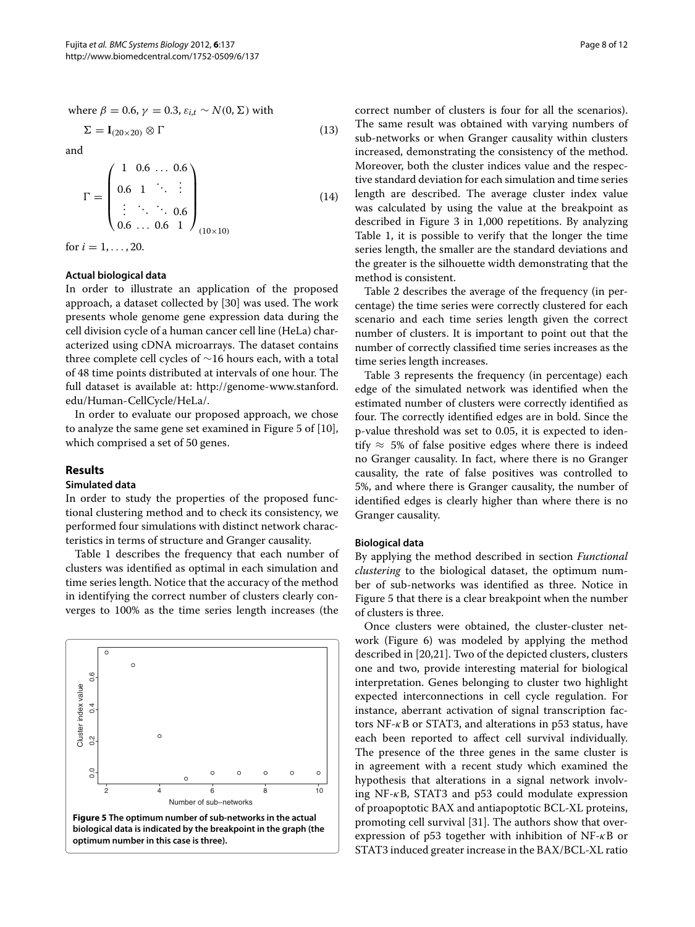where 
$$
\beta = 0.6
$$
,  $\gamma = 0.3$ ,  $\varepsilon_{i,t} \sim N(0, \Sigma)$  with

$$
\Sigma = I_{(20 \times 20)} \otimes \Gamma \tag{13}
$$

and

$$
\Gamma = \begin{pmatrix} 1 & 0.6 & \dots & 0.6 \\ 0.6 & 1 & \ddots & \vdots \\ \vdots & \ddots & \ddots & 0.6 \\ 0.6 & \dots & 0.6 & 1 \end{pmatrix}_{(10 \times 10)} \tag{14}
$$

for  $i = 1, ..., 20$ .

# **Actual biological data**

In order to illustrate an application of the proposed approach, a dataset collected by [\[30\]](#page-11-17) was used. The work presents whole genome gene expression data during the cell division cycle of a human cancer cell line (HeLa) characterized using cDNA microarrays. The dataset contains three complete cell cycles of ∼16 hours each, with a total of 48 time points distributed at intervals of one hour. The full dataset is available at: [http://genome-www.stanford.](http://genome-www.stanford.edu/Human-CellCycle/HeLa/) [edu/Human-CellCycle/HeLa/.](http://genome-www.stanford.edu/Human-CellCycle/HeLa/)

In order to evaluate our proposed approach, we chose to analyze the same gene set examined in Figure [5](#page-7-0) of [\[10\]](#page-11-18), which comprised a set of 50 genes.

#### **Results**

# **Simulated data**

In order to study the properties of the proposed functional clustering method and to check its consistency, we performed four simulations with distinct network characteristics in terms of structure and Granger causality.

Table [1](#page-8-0) describes the frequency that each number of clusters was identified as optimal in each simulation and time series length. Notice that the accuracy of the method in identifying the correct number of clusters clearly converges to 100% as the time series length increases (the

<span id="page-7-0"></span>![](_page_7_Figure_13.jpeg)

correct number of clusters is four for all the scenarios).

The same result was obtained with varying numbers of sub-networks or when Granger causality within clusters increased, demonstrating the consistency of the method. Moreover, both the cluster indices value and the respective standard deviation for each simulation and time series length are described. The average cluster index value was calculated by using the value at the breakpoint as described in Figure [3](#page-5-0) in 1,000 repetitions. By analyzing Table [1,](#page-8-0) it is possible to verify that the longer the time series length, the smaller are the standard deviations and the greater is the silhouette width demonstrating that the method is consistent.

Table [2](#page-8-1) describes the average of the frequency (in percentage) the time series were correctly clustered for each scenario and each time series length given the correct number of clusters. It is important to point out that the number of correctly classified time series increases as the time series length increases.

Table [3](#page-9-0) represents the frequency (in percentage) each edge of the simulated network was identified when the estimated number of clusters were correctly identified as four. The correctly identified edges are in bold. Since the p-value threshold was set to 0.05, it is expected to identify  $\approx$  5% of false positive edges where there is indeed no Granger causality. In fact, where there is no Granger causality, the rate of false positives was controlled to 5%, and where there is Granger causality, the number of identified edges is clearly higher than where there is no Granger causality.

#### **Biological data**

By applying the method described in section *Functional clustering* to the biological dataset, the optimum number of sub-networks was identified as three. Notice in Figure [5](#page-7-0) that there is a clear breakpoint when the number of clusters is three.

Once clusters were obtained, the cluster-cluster network (Figure [6\)](#page-10-1) was modeled by applying the method described in [\[20](#page-11-7)[,21\]](#page-11-10). Two of the depicted clusters, clusters one and two, provide interesting material for biological interpretation. Genes belonging to cluster two highlight expected interconnections in cell cycle regulation. For instance, aberrant activation of signal transcription factors NF-*κ*B or STAT3, and alterations in p53 status, have each been reported to affect cell survival individually. The presence of the three genes in the same cluster is in agreement with a recent study which examined the hypothesis that alterations in a signal network involving NF-*κ*B, STAT3 and p53 could modulate expression of proapoptotic BAX and antiapoptotic BCL-XL proteins, promoting cell survival [\[31\]](#page-11-19). The authors show that overexpression of p53 together with inhibition of NF-*κ*B or STAT3 induced greater increase in the BAX/BCL-XL ratio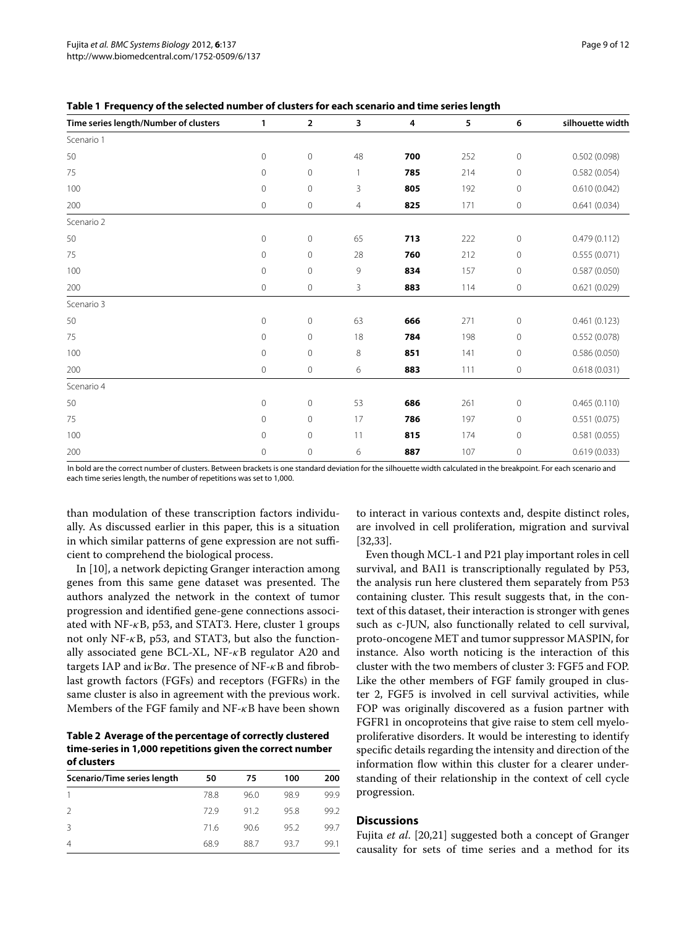In bold are the correct number of clusters. Between brackets is one standard deviation for the silhouette width calculated in the breakpoint. For each scenario and each time series length, the number of repetitions was set to 1,000.

than modulation of these transcription factors individually. As discussed earlier in this paper, this is a situation in which similar patterns of gene expression are not sufficient to comprehend the biological process.

In [\[10\]](#page-11-18), a network depicting Granger interaction among genes from this same gene dataset was presented. The authors analyzed the network in the context of tumor progression and identified gene-gene connections associated with NF-*κ*B, p53, and STAT3. Here, cluster 1 groups not only NF-*κ*B, p53, and STAT3, but also the functionally associated gene BCL-XL, NF-*κ*B regulator A20 and targets IAP and i*κ*B*α*. The presence of NF-*κ*B and fibroblast growth factors (FGFs) and receptors (FGFRs) in the same cluster is also in agreement with the previous work. Members of the FGF family and NF-*κ*B have been shown

<span id="page-8-1"></span>**Table 2 Average of the percentage of correctly clustered time-series in 1,000 repetitions given the correct number of clusters**

| Scenario/Time series length | 50   | 75   | 100  | 200  |
|-----------------------------|------|------|------|------|
|                             | 78.8 | 96.0 | 98.9 | 99.9 |
|                             | 729  | 912  | 95.8 | 99.2 |
| Β                           | 716  | 90.6 | 95.2 | 99.7 |
| 4                           | 68.9 | 88.7 | 937  | 99.1 |
|                             |      |      |      |      |

to interact in various contexts and, despite distinct roles, are involved in cell proliferation, migration and survival [\[32,](#page-11-20)[33\]](#page-11-21).

Even though MCL-1 and P21 play important roles in cell survival, and BAI1 is transcriptionally regulated by P53, the analysis run here clustered them separately from P53 containing cluster. This result suggests that, in the context of this dataset, their interaction is stronger with genes such as c-JUN, also functionally related to cell survival, proto-oncogene MET and tumor suppressor MASPIN, for instance. Also worth noticing is the interaction of this cluster with the two members of cluster 3: FGF5 and FOP. Like the other members of FGF family grouped in cluster 2, FGF5 is involved in cell survival activities, while FOP was originally discovered as a fusion partner with FGFR1 in oncoproteins that give raise to stem cell myeloproliferative disorders. It would be interesting to identify specific details regarding the intensity and direction of the information flow within this cluster for a clearer understanding of their relationship in the context of cell cycle progression.

#### **Discussions**

Fujita *et al*. [\[20](#page-11-7)[,21\]](#page-11-10) suggested both a concept of Granger causality for sets of time series and a method for its

<span id="page-8-0"></span>**Table 1 Frequency of the selected number of clusters for each scenario and time series length**

| Time series length/Number of clusters | 1           | $\overline{2}$ | 3  | 4   | 5   | 6                   | silhouette width |
|---------------------------------------|-------------|----------------|----|-----|-----|---------------------|------------------|
| Scenario 1                            |             |                |    |     |     |                     |                  |
| 50                                    | $\mathbb O$ | $\mathbf 0$    | 48 | 700 | 252 | 0                   | 0.502 (0.098)    |
| 75                                    | $\circ$     | $\mathbf{0}$   |    | 785 | 214 | 0                   | 0.582(0.054)     |
| 100                                   | $\mathbb O$ | $\mathbf 0$    | 3  | 805 | 192 | 0                   | 0.610(0.042)     |
| 200                                   | $\mathbb O$ | $\mathbf 0$    | 4  | 825 | 171 | 0                   | 0.641(0.034)     |
| Scenario 2                            |             |                |    |     |     |                     |                  |
| 50                                    | $\mathbb O$ | $\mathbf 0$    | 65 | 713 | 222 | 0                   | 0.479(0.112)     |
| 75                                    | $\mathbb O$ | $\mathbf{0}$   | 28 | 760 | 212 | 0                   | 0.555(0.071)     |
| 100                                   | $\mathbb O$ | $\mathbf 0$    | 9  | 834 | 157 | 0                   | 0.587(0.050)     |
| 200                                   | $\circ$     | $\mathbf 0$    | 3  | 883 | 114 | 0                   | 0.621(0.029)     |
| Scenario 3                            |             |                |    |     |     |                     |                  |
| 50                                    | $\mathbf 0$ | $\mathbf 0$    | 63 | 666 | 271 | 0                   | 0.461(0.123)     |
| 75                                    | $\mathbb O$ | $\mathbf 0$    | 18 | 784 | 198 | 0                   | 0.552(0.078)     |
| 100                                   | $\circ$     | $\mathbf 0$    | 8  | 851 | 141 | 0                   | 0.586 (0.050)    |
| 200                                   | $\mathbb O$ | $\mathbb O$    | 6  | 883 | 111 | 0                   | 0.618(0.031)     |
| Scenario 4                            |             |                |    |     |     |                     |                  |
| 50                                    | $\mathbf 0$ | $\mathbf{0}$   | 53 | 686 | 261 | $\mathsf{O}\xspace$ | 0.465(0.110)     |
| 75                                    | $\circ$     | $\mathbf 0$    | 17 | 786 | 197 | 0                   | 0.551(0.075)     |
| 100                                   | $\circ$     | $\mathbf 0$    | 11 | 815 | 174 | $\mathsf{O}\xspace$ | 0.581(0.055)     |
| 200                                   | 0           | $\mathbf 0$    | 6  | 887 | 107 | $\mathsf{O}\xspace$ | 0.619(0.033)     |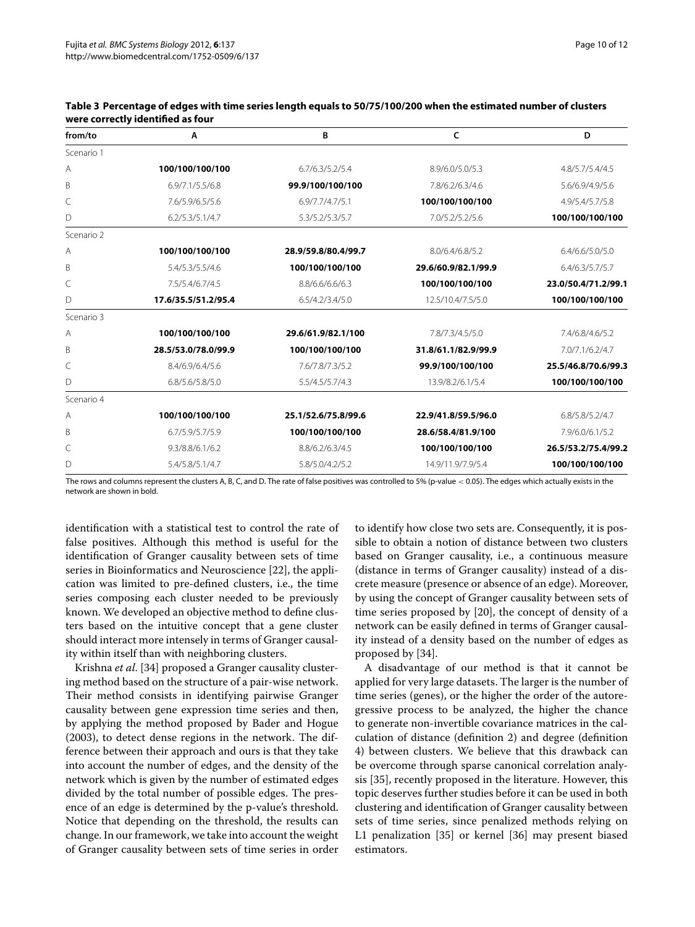| from/to    | Α                   | B                   | C                   | D                   |
|------------|---------------------|---------------------|---------------------|---------------------|
| Scenario 1 |                     |                     |                     |                     |
| Α          | 100/100/100/100     | 6.7/6.3/5.2/5.4     | 8.9/6.0/5.0/5.3     | 4.8/5.7/5.4/4.5     |
| B          | 6.9/7.1/5.5/6.8     | 99.9/100/100/100    | 7.8/6.2/6.3/4.6     | 5.6/6.9/4.9/5.6     |
| C          | 7.6/5.9/6.5/5.6     | 6.9/7.7/4.7/5.1     | 100/100/100/100     | 4.9/5.4/5.7/5.8     |
| D          | 6.2/5.3/5.1/4.7     | 5.3/5.2/5.3/5.7     | 7.0/5.2/5.2/5.6     | 100/100/100/100     |
| Scenario 2 |                     |                     |                     |                     |
| Α          | 100/100/100/100     | 28.9/59.8/80.4/99.7 | 8.0/6.4/6.8/5.2     | 6.4/6.6/5.0/5.0     |
| B          | 5.4/5.3/5.5/4.6     | 100/100/100/100     | 29.6/60.9/82.1/99.9 | 6.4/6.3/5.7/5.7     |
| C          | 7.5/5.4/6.7/4.5     | 8.8/6.6/6.6/6.3     | 100/100/100/100     | 23.0/50.4/71.2/99.1 |
| D          | 17.6/35.5/51.2/95.4 | 6.5/4.2/3.4/5.0     | 12.5/10.4/7.5/5.0   | 100/100/100/100     |
| Scenario 3 |                     |                     |                     |                     |
| Α          | 100/100/100/100     | 29.6/61.9/82.1/100  | 7.8/7.3/4.5/5.0     | 7.4/6.8/4.6/5.2     |
| B          | 28.5/53.0/78.0/99.9 | 100/100/100/100     | 31.8/61.1/82.9/99.9 | 7.0/7.1/6.2/4.7     |
| C          | 8.4/6.9/6.4/5.6     | 7.6/7.8/7.3/5.2     | 99.9/100/100/100    | 25.5/46.8/70.6/99.3 |
| D          | 6.8/5.6/5.8/5.0     | 5.5/4.5/5.7/4.3     | 13.9/8.2/6.1/5.4    | 100/100/100/100     |
| Scenario 4 |                     |                     |                     |                     |
| A          | 100/100/100/100     | 25.1/52.6/75.8/99.6 | 22.9/41.8/59.5/96.0 | 6.8/5.8/5.2/4.7     |
| B          | 6.7/5.9/5.7/5.9     | 100/100/100/100     | 28.6/58.4/81.9/100  | 7.9/6.0/6.1/5.2     |
| C          | 9.3/8.8/6.1/6.2     | 8.8/6.2/6.3/4.5     | 100/100/100/100     | 26.5/53.2/75.4/99.2 |
| D          | 5.4/5.8/5.1/4.7     | 5.8/5.0/4.2/5.2     | 14.9/11.9/7.9/5.4   | 100/100/100/100     |

### <span id="page-9-0"></span>**Table 3 Percentage of edges with time series length equals to 50/75/100/200 when the estimated number of clusters were correctly identified as four**

The rows and columns represent the clusters A, B, C, and D. The rate of false positives was controlled to 5% (p-value *<* 0.05). The edges which actually exists in the network are shown in bold.

identification with a statistical test to control the rate of false positives. Although this method is useful for the identification of Granger causality between sets of time series in Bioinformatics and Neuroscience [\[22\]](#page-11-8), the application was limited to pre-defined clusters, i.e., the time series composing each cluster needed to be previously known. We developed an objective method to define clusters based on the intuitive concept that a gene cluster should interact more intensely in terms of Granger causality within itself than with neighboring clusters.

Krishna *et al*. [\[34\]](#page-11-22) proposed a Granger causality clustering method based on the structure of a pair-wise network. Their method consists in identifying pairwise Granger causality between gene expression time series and then, by applying the method proposed by Bader and Hogue (2003), to detect dense regions in the network. The difference between their approach and ours is that they take into account the number of edges, and the density of the network which is given by the number of estimated edges divided by the total number of possible edges. The presence of an edge is determined by the p-value's threshold. Notice that depending on the threshold, the results can change. In our framework, we take into account the weight of Granger causality between sets of time series in order to identify how close two sets are. Consequently, it is possible to obtain a notion of distance between two clusters based on Granger causality, i.e., a continuous measure (distance in terms of Granger causality) instead of a discrete measure (presence or absence of an edge). Moreover, by using the concept of Granger causality between sets of time series proposed by [\[20\]](#page-11-7), the concept of density of a network can be easily defined in terms of Granger causality instead of a density based on the number of edges as proposed by [\[34\]](#page-11-22).

A disadvantage of our method is that it cannot be applied for very large datasets. The larger is the number of time series (genes), or the higher the order of the autoregressive process to be analyzed, the higher the chance to generate non-invertible covariance matrices in the calculation of distance (definition 2) and degree (definition 4) between clusters. We believe that this drawback can be overcome through sparse canonical correlation analysis [\[35\]](#page-11-23), recently proposed in the literature. However, this topic deserves further studies before it can be used in both clustering and identification of Granger causality between sets of time series, since penalized methods relying on L1 penalization [\[35\]](#page-11-23) or kernel [\[36\]](#page-11-24) may present biased estimators.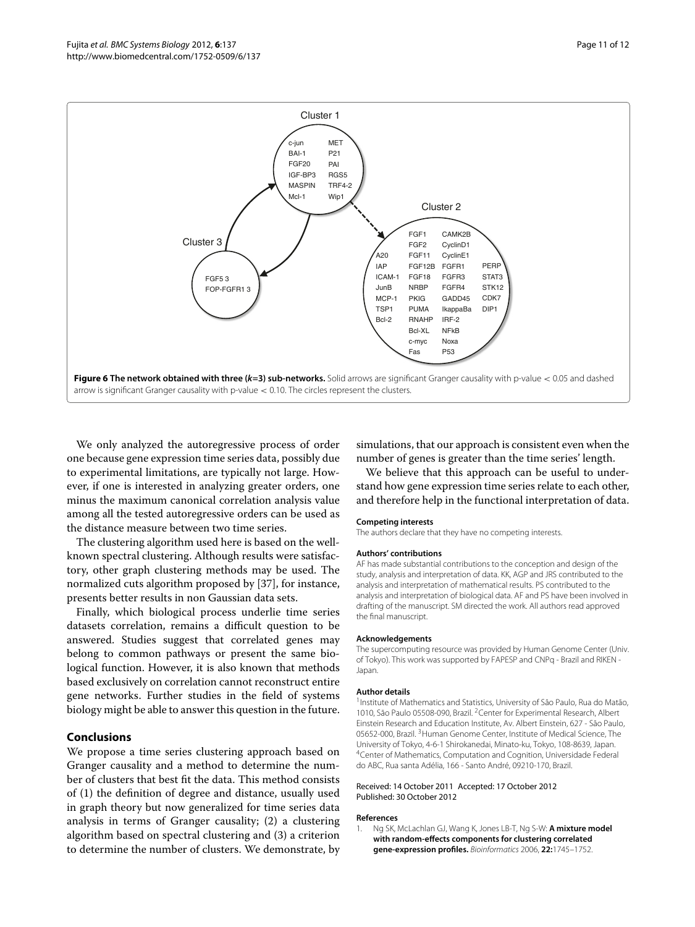![](_page_10_Figure_1.jpeg)

<span id="page-10-1"></span>We only analyzed the autoregressive process of order one because gene expression time series data, possibly due to experimental limitations, are typically not large. However, if one is interested in analyzing greater orders, one minus the maximum canonical correlation analysis value among all the tested autoregressive orders can be used as the distance measure between two time series.

The clustering algorithm used here is based on the wellknown spectral clustering. Although results were satisfactory, other graph clustering methods may be used. The normalized cuts algorithm proposed by [\[37\]](#page-11-25), for instance, presents better results in non Gaussian data sets.

Finally, which biological process underlie time series datasets correlation, remains a difficult question to be answered. Studies suggest that correlated genes may belong to common pathways or present the same biological function. However, it is also known that methods based exclusively on correlation cannot reconstruct entire gene networks. Further studies in the field of systems biology might be able to answer this question in the future.

#### **Conclusions**

We propose a time series clustering approach based on Granger causality and a method to determine the number of clusters that best fit the data. This method consists of (1) the definition of degree and distance, usually used in graph theory but now generalized for time series data analysis in terms of Granger causality; (2) a clustering algorithm based on spectral clustering and (3) a criterion to determine the number of clusters. We demonstrate, by

simulations, that our approach is consistent even when the number of genes is greater than the time series' length.

We believe that this approach can be useful to understand how gene expression time series relate to each other, and therefore help in the functional interpretation of data.

#### **Competing interests**

The authors declare that they have no competing interests.

#### **Authors' contributions**

AF has made substantial contributions to the conception and design of the study, analysis and interpretation of data. KK, AGP and JRS contributed to the analysis and interpretation of mathematical results. PS contributed to the analysis and interpretation of biological data. AF and PS have been involved in drafting of the manuscript. SM directed the work. All authors read approved the final manuscript.

#### **Acknowledgements**

The supercomputing resource was provided by Human Genome Center (Univ. of Tokyo). This work was supported by FAPESP and CNPq - Brazil and RIKEN - Japan.

#### **Author details**

<sup>1</sup> Institute of Mathematics and Statistics, University of São Paulo, Rua do Matão, 1010, São Paulo 05508-090, Brazil. <sup>2</sup> Center for Experimental Research, Albert Einstein Research and Education Institute, Av. Albert Einstein, 627 - Sao Paulo, ˜ 05652-000, Brazil. <sup>3</sup>Human Genome Center, Institute of Medical Science, The University of Tokyo, 4-6-1 Shirokanedai, Minato-ku, Tokyo, 108-8639, Japan. 4Center of Mathematics, Computation and Cognition, Universidade Federal do ABC, Rua santa Adélia, 166 - Santo André, 09210-170, Brazil.

#### Received: 14 October 2011 Accepted: 17 October 2012 Published: 30 October 2012

#### **References**

<span id="page-10-0"></span>1. Ng SK, McLachlan GJ, Wang K, Jones LB-T, Ng S-W: **A mixture model with random-effects components for clustering correlated gene-expression profiles.** Bioinformatics 2006, **22:**1745–1752.